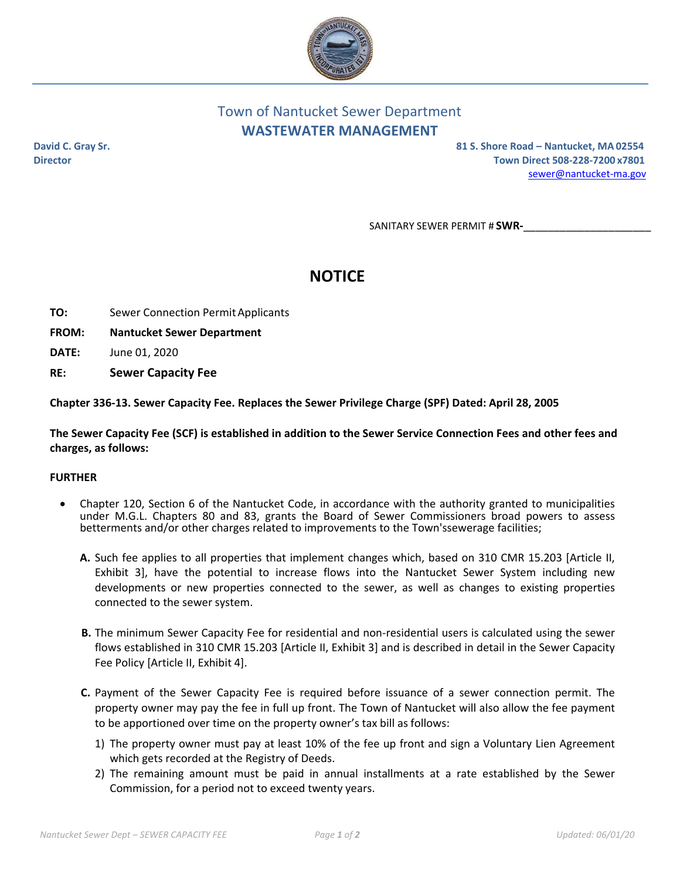

## Town of Nantucket Sewer Department **WASTEWATER MANAGEMENT**

**David C. Gray Sr. 81 S. Shore Road – Nantucket, MA 02554 Director Town Direct 508‐228‐7200 x7801** sewer@nantucket‐ma.gov

SANITARY SEWER PERMIT # **SWR‐**\_\_\_\_\_\_\_\_\_\_\_\_\_\_\_\_\_\_\_\_\_

# **NOTICE**

- **TO:** Sewer Connection Permit Applicants
- **FROM: Nantucket Sewer Department**
- **DATE:** June 01, 2020
- **RE: Sewer Capacity Fee**

**Chapter 336‐13. Sewer Capacity Fee. Replaces the Sewer Privilege Charge (SPF) Dated: April 28, 2005**

The Sewer Capacity Fee (SCF) is established in addition to the Sewer Service Connection Fees and other fees and **charges, as follows:**

#### **FURTHER**

- Chapter 120, Section 6 of the Nantucket Code, in accordance with the authority granted to municipalities under M.G.L. Chapters 80 and 83, grants the Board of Sewer Commissioners broad powers to assess betterments and/or other charges related to improvements to the Town'ssewerage facilities;
	- **A.** Such fee applies to all properties that implement changes which, based on 310 CMR 15.203 [Article II, Exhibit 3], have the potential to increase flows into the Nantucket Sewer System including new developments or new properties connected to the sewer, as well as changes to existing properties connected to the sewer system.
	- **B.** The minimum Sewer Capacity Fee for residential and non-residential users is calculated using the sewer flows established in 310 CMR 15.203 [Article II, Exhibit 3] and is described in detail in the Sewer Capacity Fee Policy [Article II, Exhibit 4].
	- **C.** Payment of the Sewer Capacity Fee is required before issuance of a sewer connection permit. The property owner may pay the fee in full up front. The Town of Nantucket will also allow the fee payment to be apportioned over time on the property owner's tax bill as follows:
		- 1) The property owner must pay at least 10% of the fee up front and sign a Voluntary Lien Agreement which gets recorded at the Registry of Deeds.
		- 2) The remaining amount must be paid in annual installments at a rate established by the Sewer Commission, for a period not to exceed twenty years.